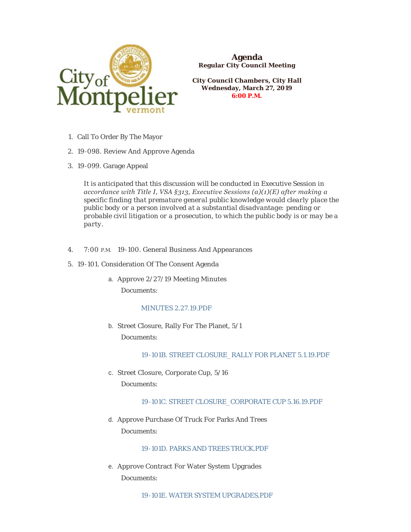

**Agenda Regular City Council Meeting**

**City Council Chambers, City Hall Wednesday, March 27, 2019 6:00 P.M.**

- 1. Call To Order By The Mayor
- 19-098. Review And Approve Agenda 2.
- 19-099. Garage Appeal 3.

*It is anticipated that this discussion will be conducted in Executive Session in accordance with Title I, VSA §313, Executive Sessions (a)(1)(E) after making a specific finding that premature general public knowledge would clearly place the public body or a person involved at a substantial disadvantage: pending or probable civil litigation or a prosecution, to which the public body is or may be a party.*

- 4. 7:00 P.M. 19-100. General Business And Appearances
- 19-101. Consideration Of The Consent Agenda 5.
	- a. Approve 2/27/19 Meeting Minutes Documents:

# [MINUTES 2.27.19.PDF](https://www.montpelier-vt.org/AgendaCenter/ViewFile/Item/1336?fileID=10121)

b. Street Closure, Rally For The Planet,  $5/1$ Documents:

## [19-101B. STREET CLOSURE\\_RALLY FOR PLANET 5.1.19.PDF](https://www.montpelier-vt.org/AgendaCenter/ViewFile/Item/1337?fileID=10122)

c. Street Closure, Corporate Cup, 5/16 Documents:

## [19-101C. STREET CLOSURE\\_CORPORATE CUP 5.16.19.PDF](https://www.montpelier-vt.org/AgendaCenter/ViewFile/Item/1338?fileID=10123)

d. Approve Purchase Of Truck For Parks And Trees Documents:

[19-101D. PARKS AND TREES TRUCK.PDF](https://www.montpelier-vt.org/AgendaCenter/ViewFile/Item/1358?fileID=10147)

e. Approve Contract For Water System Upgrades Documents:

[19-101E. WATER SYSTEM UPGRADES.PDF](https://www.montpelier-vt.org/AgendaCenter/ViewFile/Item/1359?fileID=10128)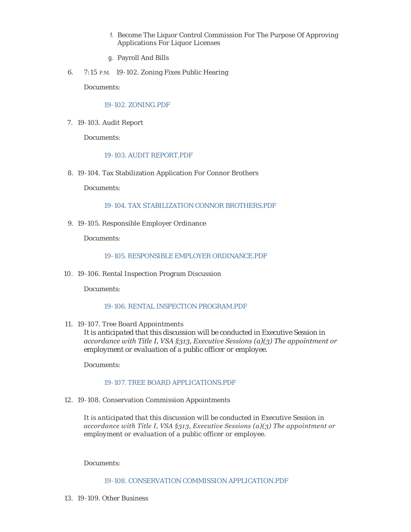- f. Become The Liquor Control Commission For The Purpose Of Approving Applications For Liquor Licenses
- Payroll And Bills g.
- 6. 7:15 P.M. 19-102. Zoning Fixes Public Hearing

Documents:

### [19-102. ZONING.PDF](https://www.montpelier-vt.org/AgendaCenter/ViewFile/Item/1344?fileID=10130)

19-103. Audit Report 7.

Documents:

# [19-103. AUDIT REPORT.PDF](https://www.montpelier-vt.org/AgendaCenter/ViewFile/Item/1355?fileID=10133)

19-104. Tax Stabilization Application For Connor Brothers 8.

Documents:

### [19-104. TAX STABILIZATION CONNOR BROTHERS.PDF](https://www.montpelier-vt.org/AgendaCenter/ViewFile/Item/1347?fileID=10131)

19-105. Responsible Employer Ordinance 9.

Documents:

## [19-105. RESPONSIBLE EMPLOYER ORDINANCE.PDF](https://www.montpelier-vt.org/AgendaCenter/ViewFile/Item/1360?fileID=10132)

19-106. Rental Inspection Program Discussion 10.

Documents:

# [19-106. RENTAL INSPECTION PROGRAM.PDF](https://www.montpelier-vt.org/AgendaCenter/ViewFile/Item/1349?fileID=10146)

19-107. Tree Board Appointments 11.

*It is anticipated that this discussion will be conducted in Executive Session in accordance with Title I, VSA §313, Executive Sessions (a)(3) The appointment or employment or evaluation of a public officer or employee.*

Documents:

#### [19-107. TREE BOARD APPLICATIONS.PDF](https://www.montpelier-vt.org/AgendaCenter/ViewFile/Item/1346?fileID=10126)

19-108. Conservation Commission Appointments 12.

*It is anticipated that this discussion will be conducted in Executive Session in accordance with Title I, VSA §313, Executive Sessions (a)(3) The appointment or employment or evaluation of a public officer or employee.*

Documents:

[19-108. CONSERVATION COMMISSION APPLICATION.PDF](https://www.montpelier-vt.org/AgendaCenter/ViewFile/Item/1345?fileID=10129)

19-109. Other Business 13.